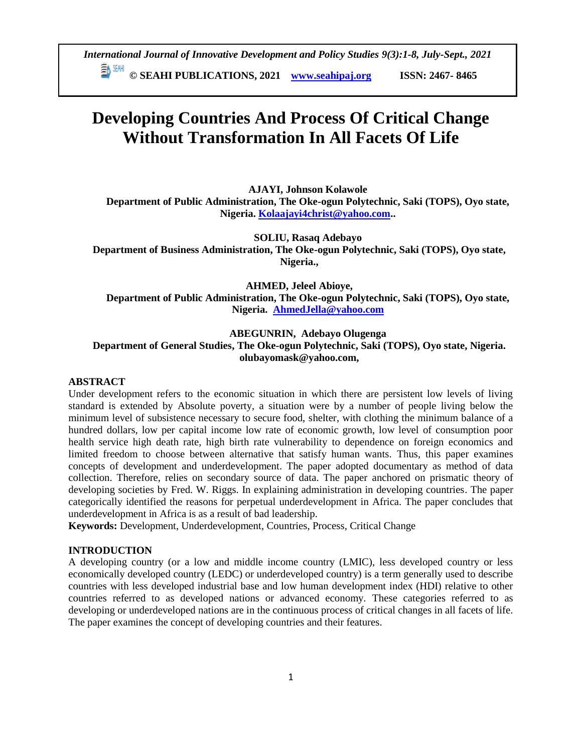**© SEAHI PUBLICATIONS, 2021 [www.seahipaj.org](http://www.seahipaj.org/) ISSN: 2467- 8465**

# **Developing Countries And Process Of Critical Change Without Transformation In All Facets Of Life**

**AJAYI, Johnson Kolawole Department of Public Administration, The Oke-ogun Polytechnic, Saki (TOPS), Oyo state, Nigeria. [Kolaajayi4christ@yahoo.com.](mailto:Kolaajayi4christ@yahoo.com).** 

**SOLIU, Rasaq Adebayo Department of Business Administration, The Oke-ogun Polytechnic, Saki (TOPS), Oyo state, Nigeria.,** 

**AHMED, Jeleel Abioye, Department of Public Administration, The Oke-ogun Polytechnic, Saki (TOPS), Oyo state, Nigeria. [AhmedJella@yahoo.com](mailto:AhmedJella@yahoo.com)**

# **ABEGUNRIN, Adebayo Olugenga Department of General Studies, The Oke-ogun Polytechnic, Saki (TOPS), Oyo state, Nigeria. olubayomask@yahoo.com,**

## **ABSTRACT**

Under development refers to the economic situation in which there are persistent low levels of living standard is extended by Absolute poverty, a situation were by a number of people living below the minimum level of subsistence necessary to secure food, shelter, with clothing the minimum balance of a hundred dollars, low per capital income low rate of economic growth, low level of consumption poor health service high death rate, high birth rate vulnerability to dependence on foreign economics and limited freedom to choose between alternative that satisfy human wants. Thus, this paper examines concepts of development and underdevelopment. The paper adopted documentary as method of data collection. Therefore, relies on secondary source of data. The paper anchored on prismatic theory of developing societies by Fred. W. Riggs. In explaining administration in developing countries. The paper categorically identified the reasons for perpetual underdevelopment in Africa. The paper concludes that underdevelopment in Africa is as a result of bad leadership.

**Keywords:** Development, Underdevelopment, Countries, Process, Critical Change

#### **INTRODUCTION**

A developing country (or a low and middle income country (LMIC), less developed country or less economically developed country (LEDC) or underdeveloped country) is a term generally used to describe countries with less developed industrial base and low human development index (HDI) relative to other countries referred to as developed nations or advanced economy. These categories referred to as developing or underdeveloped nations are in the continuous process of critical changes in all facets of life. The paper examines the concept of developing countries and their features.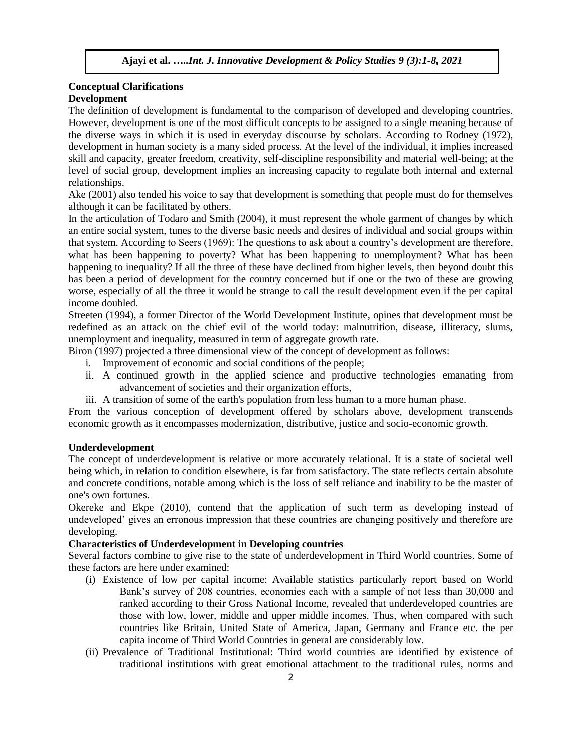# **Conceptual Clarifications Development**

The definition of development is fundamental to the comparison of developed and developing countries. However, development is one of the most difficult concepts to be assigned to a single meaning because of the diverse ways in which it is used in everyday discourse by scholars. According to Rodney (1972), development in human society is a many sided process. At the level of the individual, it implies increased skill and capacity, greater freedom, creativity, self-discipline responsibility and material well-being; at the level of social group, development implies an increasing capacity to regulate both internal and external relationships.

Ake (2001) also tended his voice to say that development is something that people must do for themselves although it can be facilitated by others.

In the articulation of Todaro and Smith (2004), it must represent the whole garment of changes by which an entire social system, tunes to the diverse basic needs and desires of individual and social groups within that system. According to Seers (1969): The questions to ask about a country's development are therefore, what has been happening to poverty? What has been happening to unemployment? What has been happening to inequality? If all the three of these have declined from higher levels, then beyond doubt this has been a period of development for the country concerned but if one or the two of these are growing worse, especially of all the three it would be strange to call the result development even if the per capital income doubled.

Streeten (1994), a former Director of the World Development Institute, opines that development must be redefined as an attack on the chief evil of the world today: malnutrition, disease, illiteracy, slums, unemployment and inequality, measured in term of aggregate growth rate.

Biron (1997) projected a three dimensional view of the concept of development as follows:

- i. Improvement of economic and social conditions of the people;
- ii. A continued growth in the applied science and productive technologies emanating from advancement of societies and their organization efforts,
- iii. A transition of some of the earth's population from less human to a more human phase.

From the various conception of development offered by scholars above, development transcends economic growth as it encompasses modernization, distributive, justice and socio-economic growth.

## **Underdevelopment**

The concept of underdevelopment is relative or more accurately relational. It is a state of societal well being which, in relation to condition elsewhere, is far from satisfactory. The state reflects certain absolute and concrete conditions, notable among which is the loss of self reliance and inability to be the master of one's own fortunes.

Okereke and Ekpe (2010), contend that the application of such term as developing instead of undeveloped' gives an erronous impression that these countries are changing positively and therefore are developing.

## **Characteristics of Underdevelopment in Developing countries**

Several factors combine to give rise to the state of underdevelopment in Third World countries. Some of these factors are here under examined:

- (i) Existence of low per capital income: Available statistics particularly report based on World Bank's survey of 208 countries, economies each with a sample of not less than 30,000 and ranked according to their Gross National Income, revealed that underdeveloped countries are those with low, lower, middle and upper middle incomes. Thus, when compared with such countries like Britain, United State of America, Japan, Germany and France etc. the per capita income of Third World Countries in general are considerably low.
- (ii) Prevalence of Traditional Institutional: Third world countries are identified by existence of traditional institutions with great emotional attachment to the traditional rules, norms and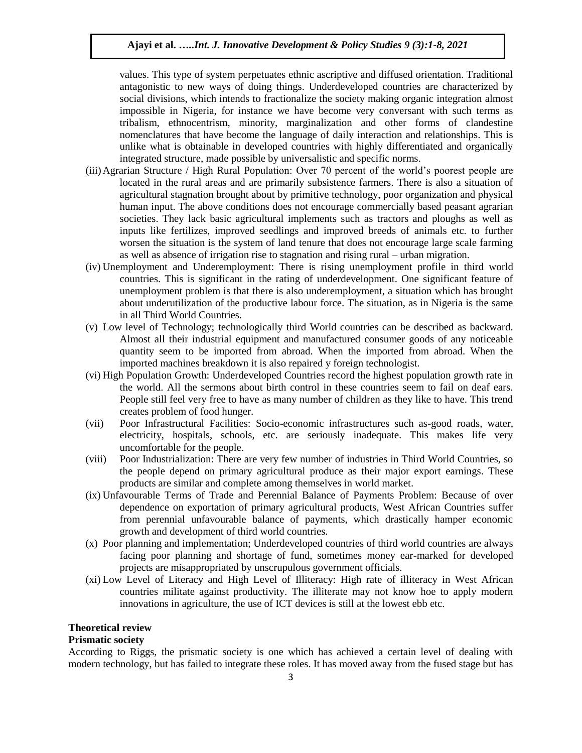values. This type of system perpetuates ethnic ascriptive and diffused orientation. Traditional antagonistic to new ways of doing things. Underdeveloped countries are characterized by social divisions, which intends to fractionalize the society making organic integration almost impossible in Nigeria, for instance we have become very conversant with such terms as tribalism, ethnocentrism, minority, marginalization and other forms of clandestine nomenclatures that have become the language of daily interaction and relationships. This is unlike what is obtainable in developed countries with highly differentiated and organically integrated structure, made possible by universalistic and specific norms.

- (iii)Agrarian Structure / High Rural Population: Over 70 percent of the world's poorest people are located in the rural areas and are primarily subsistence farmers. There is also a situation of agricultural stagnation brought about by primitive technology, poor organization and physical human input. The above conditions does not encourage commercially based peasant agrarian societies. They lack basic agricultural implements such as tractors and ploughs as well as inputs like fertilizes, improved seedlings and improved breeds of animals etc. to further worsen the situation is the system of land tenure that does not encourage large scale farming as well as absence of irrigation rise to stagnation and rising rural – urban migration.
- (iv) Unemployment and Underemployment: There is rising unemployment profile in third world countries. This is significant in the rating of underdevelopment. One significant feature of unemployment problem is that there is also underemployment, a situation which has brought about underutilization of the productive labour force. The situation, as in Nigeria is the same in all Third World Countries.
- (v) Low level of Technology; technologically third World countries can be described as backward. Almost all their industrial equipment and manufactured consumer goods of any noticeable quantity seem to be imported from abroad. When the imported from abroad. When the imported machines breakdown it is also repaired y foreign technologist.
- (vi) High Population Growth: Underdeveloped Countries record the highest population growth rate in the world. All the sermons about birth control in these countries seem to fail on deaf ears. People still feel very free to have as many number of children as they like to have. This trend creates problem of food hunger.
- (vii) Poor Infrastructural Facilities: Socio-economic infrastructures such as-good roads, water, electricity, hospitals, schools, etc. are seriously inadequate. This makes life very uncomfortable for the people.
- (viii) Poor Industrialization: There are very few number of industries in Third World Countries, so the people depend on primary agricultural produce as their major export earnings. These products are similar and complete among themselves in world market.
- (ix) Unfavourable Terms of Trade and Perennial Balance of Payments Problem: Because of over dependence on exportation of primary agricultural products, West African Countries suffer from perennial unfavourable balance of payments, which drastically hamper economic growth and development of third world countries.
- (x) Poor planning and implementation; Underdeveloped countries of third world countries are always facing poor planning and shortage of fund, sometimes money ear-marked for developed projects are misappropriated by unscrupulous government officials.
- (xi) Low Level of Literacy and High Level of Illiteracy: High rate of illiteracy in West African countries militate against productivity. The illiterate may not know hoe to apply modern innovations in agriculture, the use of ICT devices is still at the lowest ebb etc.

## **Theoretical review**

#### **Prismatic society**

According to Riggs, the prismatic society is one which has achieved a certain level of dealing with modern technology, but has failed to integrate these roles. It has moved away from the fused stage but has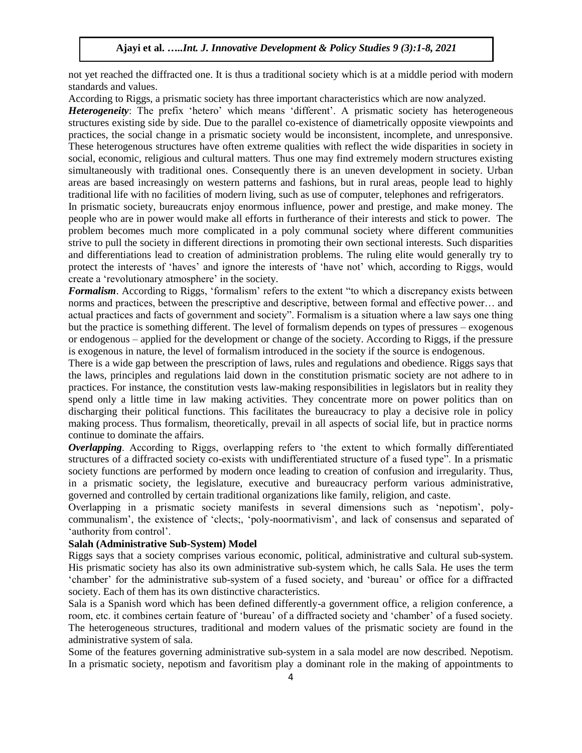not yet reached the diffracted one. It is thus a traditional society which is at a middle period with modern standards and values.

According to Riggs, a prismatic society has three important characteristics which are now analyzed.

*Heterogeneity*: The prefix 'hetero' which means 'different'. A prismatic society has heterogeneous structures existing side by side. Due to the parallel co-existence of diametrically opposite viewpoints and practices, the social change in a prismatic society would be inconsistent, incomplete, and unresponsive. These heterogenous structures have often extreme qualities with reflect the wide disparities in society in social, economic, religious and cultural matters. Thus one may find extremely modern structures existing simultaneously with traditional ones. Consequently there is an uneven development in society. Urban areas are based increasingly on western patterns and fashions, but in rural areas, people lead to highly traditional life with no facilities of modern living, such as use of computer, telephones and refrigerators.

In prismatic society, bureaucrats enjoy enormous influence, power and prestige, and make money. The people who are in power would make all efforts in furtherance of their interests and stick to power. The problem becomes much more complicated in a poly communal society where different communities strive to pull the society in different directions in promoting their own sectional interests. Such disparities and differentiations lead to creation of administration problems. The ruling elite would generally try to protect the interests of 'haves' and ignore the interests of 'have not' which, according to Riggs, would create a 'revolutionary atmosphere' in the society.

*Formalism*. According to Riggs, 'formalism' refers to the extent "to which a discrepancy exists between norms and practices, between the prescriptive and descriptive, between formal and effective power… and actual practices and facts of government and society". Formalism is a situation where a law says one thing but the practice is something different. The level of formalism depends on types of pressures – exogenous or endogenous – applied for the development or change of the society. According to Riggs, if the pressure is exogenous in nature, the level of formalism introduced in the society if the source is endogenous.

There is a wide gap between the prescription of laws, rules and regulations and obedience. Riggs says that the laws, principles and regulations laid down in the constitution prismatic society are not adhere to in practices. For instance, the constitution vests law-making responsibilities in legislators but in reality they spend only a little time in law making activities. They concentrate more on power politics than on discharging their political functions. This facilitates the bureaucracy to play a decisive role in policy making process. Thus formalism, theoretically, prevail in all aspects of social life, but in practice norms continue to dominate the affairs.

*Overlapping*. According to Riggs, overlapping refers to 'the extent to which formally differentiated structures of a diffracted society co-exists with undifferentiated structure of a fused type". In a prismatic society functions are performed by modern once leading to creation of confusion and irregularity. Thus, in a prismatic society, the legislature, executive and bureaucracy perform various administrative, governed and controlled by certain traditional organizations like family, religion, and caste.

Overlapping in a prismatic society manifests in several dimensions such as 'nepotism', polycommunalism', the existence of 'clects;, 'poly-noormativism', and lack of consensus and separated of 'authority from control'.

## **Salah (Administrative Sub-System) Model**

Riggs says that a society comprises various economic, political, administrative and cultural sub-system. His prismatic society has also its own administrative sub-system which, he calls Sala. He uses the term 'chamber' for the administrative sub-system of a fused society, and 'bureau' or office for a diffracted society. Each of them has its own distinctive characteristics.

Sala is a Spanish word which has been defined differently-a government office, a religion conference, a room, etc. it combines certain feature of 'bureau' of a diffracted society and 'chamber' of a fused society. The heterogeneous structures, traditional and modern values of the prismatic society are found in the administrative system of sala.

Some of the features governing administrative sub-system in a sala model are now described. Nepotism. In a prismatic society, nepotism and favoritism play a dominant role in the making of appointments to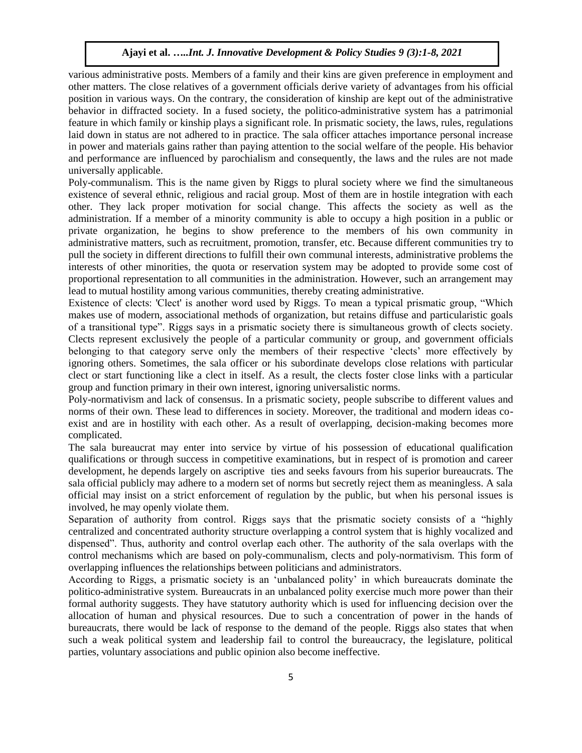various administrative posts. Members of a family and their kins are given preference in employment and other matters. The close relatives of a government officials derive variety of advantages from his official position in various ways. On the contrary, the consideration of kinship are kept out of the administrative behavior in diffracted society. In a fused society, the politico-administrative system has a patrimonial feature in which family or kinship plays a significant role. In prismatic society, the laws, rules, regulations laid down in status are not adhered to in practice. The sala officer attaches importance personal increase in power and materials gains rather than paying attention to the social welfare of the people. His behavior and performance are influenced by parochialism and consequently, the laws and the rules are not made universally applicable.

Poly-communalism. This is the name given by Riggs to plural society where we find the simultaneous existence of several ethnic, religious and racial group. Most of them are in hostile integration with each other. They lack proper motivation for social change. This affects the society as well as the administration. If a member of a minority community is able to occupy a high position in a public or private organization, he begins to show preference to the members of his own community in administrative matters, such as recruitment, promotion, transfer, etc. Because different communities try to pull the society in different directions to fulfill their own communal interests, administrative problems the interests of other minorities, the quota or reservation system may be adopted to provide some cost of proportional representation to all communities in the administration. However, such an arrangement may lead to mutual hostility among various communities, thereby creating administrative.

Existence of clects: 'Clect' is another word used by Riggs. To mean a typical prismatic group, "Which makes use of modern, associational methods of organization, but retains diffuse and particularistic goals of a transitional type". Riggs says in a prismatic society there is simultaneous growth of clects society. Clects represent exclusively the people of a particular community or group, and government officials belonging to that category serve only the members of their respective 'clects' more effectively by ignoring others. Sometimes, the sala officer or his subordinate develops close relations with particular clect or start functioning like a clect in itself. As a result, the clects foster close links with a particular group and function primary in their own interest, ignoring universalistic norms.

Poly-normativism and lack of consensus. In a prismatic society, people subscribe to different values and norms of their own. These lead to differences in society. Moreover, the traditional and modern ideas coexist and are in hostility with each other. As a result of overlapping, decision-making becomes more complicated.

The sala bureaucrat may enter into service by virtue of his possession of educational qualification qualifications or through success in competitive examinations, but in respect of is promotion and career development, he depends largely on ascriptive ties and seeks favours from his superior bureaucrats. The sala official publicly may adhere to a modern set of norms but secretly reject them as meaningless. A sala official may insist on a strict enforcement of regulation by the public, but when his personal issues is involved, he may openly violate them.

Separation of authority from control. Riggs says that the prismatic society consists of a "highly centralized and concentrated authority structure overlapping a control system that is highly vocalized and dispensed". Thus, authority and control overlap each other. The authority of the sala overlaps with the control mechanisms which are based on poly-communalism, clects and poly-normativism. This form of overlapping influences the relationships between politicians and administrators.

According to Riggs, a prismatic society is an 'unbalanced polity' in which bureaucrats dominate the politico-administrative system. Bureaucrats in an unbalanced polity exercise much more power than their formal authority suggests. They have statutory authority which is used for influencing decision over the allocation of human and physical resources. Due to such a concentration of power in the hands of bureaucrats, there would be lack of response to the demand of the people. Riggs also states that when such a weak political system and leadership fail to control the bureaucracy, the legislature, political parties, voluntary associations and public opinion also become ineffective.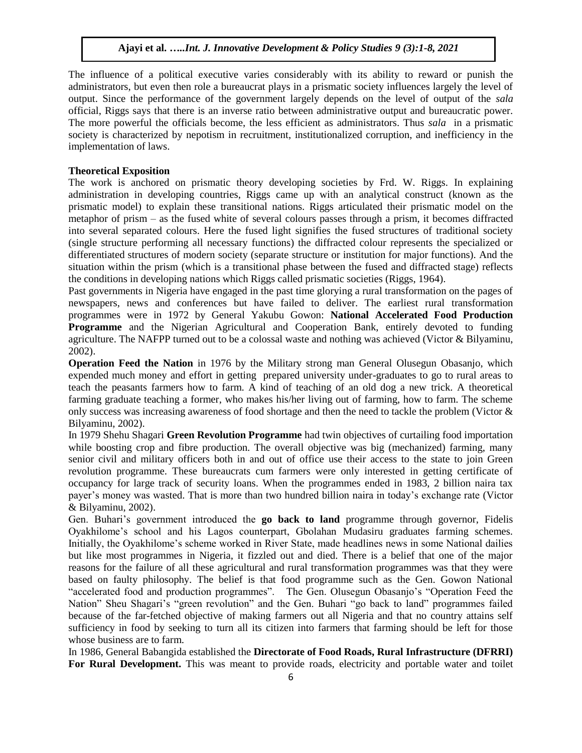The influence of a political executive varies considerably with its ability to reward or punish the administrators, but even then role a bureaucrat plays in a prismatic society influences largely the level of output. Since the performance of the government largely depends on the level of output of the *sala*  official, Riggs says that there is an inverse ratio between administrative output and bureaucratic power. The more powerful the officials become, the less efficient as administrators. Thus *sala* in a prismatic society is characterized by nepotism in recruitment, institutionalized corruption, and inefficiency in the implementation of laws.

#### **Theoretical Exposition**

The work is anchored on prismatic theory developing societies by Frd. W. Riggs. In explaining administration in developing countries, Riggs came up with an analytical construct (known as the prismatic model) to explain these transitional nations. Riggs articulated their prismatic model on the metaphor of prism – as the fused white of several colours passes through a prism, it becomes diffracted into several separated colours. Here the fused light signifies the fused structures of traditional society (single structure performing all necessary functions) the diffracted colour represents the specialized or differentiated structures of modern society (separate structure or institution for major functions). And the situation within the prism (which is a transitional phase between the fused and diffracted stage) reflects the conditions in developing nations which Riggs called prismatic societies (Riggs, 1964).

Past governments in Nigeria have engaged in the past time glorying a rural transformation on the pages of newspapers, news and conferences but have failed to deliver. The earliest rural transformation programmes were in 1972 by General Yakubu Gowon: **National Accelerated Food Production Programme** and the Nigerian Agricultural and Cooperation Bank, entirely devoted to funding agriculture. The NAFPP turned out to be a colossal waste and nothing was achieved (Victor & Bilyaminu, 2002).

**Operation Feed the Nation** in 1976 by the Military strong man General Olusegun Obasanjo, which expended much money and effort in getting prepared university under-graduates to go to rural areas to teach the peasants farmers how to farm. A kind of teaching of an old dog a new trick. A theoretical farming graduate teaching a former, who makes his/her living out of farming, how to farm. The scheme only success was increasing awareness of food shortage and then the need to tackle the problem (Victor & Bilyaminu, 2002).

In 1979 Shehu Shagari **Green Revolution Programme** had twin objectives of curtailing food importation while boosting crop and fibre production. The overall objective was big (mechanized) farming, many senior civil and military officers both in and out of office use their access to the state to join Green revolution programme. These bureaucrats cum farmers were only interested in getting certificate of occupancy for large track of security loans. When the programmes ended in 1983, 2 billion naira tax payer's money was wasted. That is more than two hundred billion naira in today's exchange rate (Victor & Bilyaminu, 2002).

Gen. Buhari's government introduced the **go back to land** programme through governor, Fidelis Oyakhilome's school and his Lagos counterpart, Gbolahan Mudasiru graduates farming schemes. Initially, the Oyakhilome's scheme worked in River State, made headlines news in some National dailies but like most programmes in Nigeria, it fizzled out and died. There is a belief that one of the major reasons for the failure of all these agricultural and rural transformation programmes was that they were based on faulty philosophy. The belief is that food programme such as the Gen. Gowon National "accelerated food and production programmes". The Gen. Olusegun Obasanjo's "Operation Feed the Nation" Sheu Shagari's "green revolution" and the Gen. Buhari "go back to land" programmes failed because of the far-fetched objective of making farmers out all Nigeria and that no country attains self sufficiency in food by seeking to turn all its citizen into farmers that farming should be left for those whose business are to farm.

In 1986, General Babangida established the **Directorate of Food Roads, Rural Infrastructure (DFRRI)**  For Rural Development. This was meant to provide roads, electricity and portable water and toilet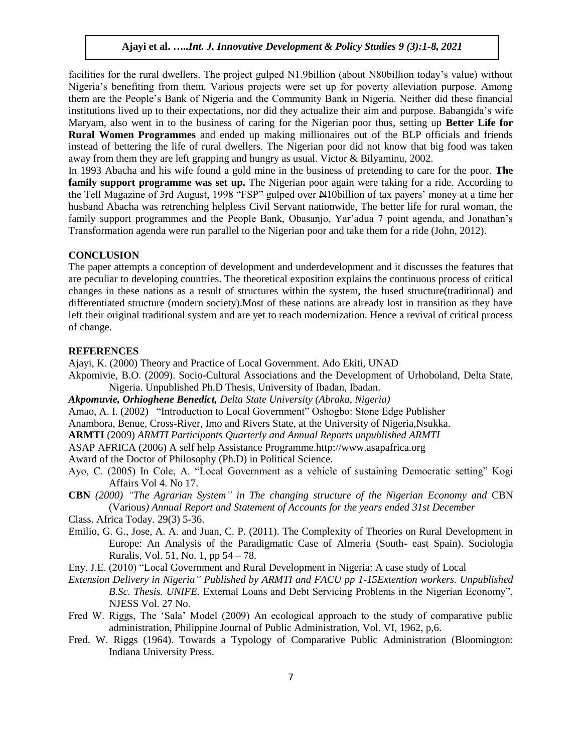facilities for the rural dwellers. The project gulped N1.9billion (about N80billion today's value) without Nigeria's benefiting from them. Various projects were set up for poverty alleviation purpose. Among them are the People's Bank of Nigeria and the Community Bank in Nigeria. Neither did these financial institutions lived up to their expectations, nor did they actualize their aim and purpose. Babangida's wife Maryam, also went in to the business of caring for the Nigerian poor thus, setting up **Better Life for Rural Women Programmes** and ended up making millionaires out of the BLP officials and friends instead of bettering the life of rural dwellers. The Nigerian poor did not know that big food was taken away from them they are left grapping and hungry as usual. Victor & Bilyaminu, 2002.

In 1993 Abacha and his wife found a gold mine in the business of pretending to care for the poor. **The**  family support programme was set up. The Nigerian poor again were taking for a ride. According to the Tell Magazine of 3rd August, 1998 "FSP" gulped over  $\frac{N}{N}10$ billion of tax payers' money at a time her husband Abacha was retrenching helpless Civil Servant nationwide, The better life for rural woman, the family support programmes and the People Bank, Obasanjo, Yar'adua 7 point agenda, and Jonathan's Transformation agenda were run parallel to the Nigerian poor and take them for a ride (John, 2012).

#### **CONCLUSION**

The paper attempts a conception of development and underdevelopment and it discusses the features that are peculiar to developing countries. The theoretical exposition explains the continuous process of critical changes in these nations as a result of structures within the system, the fused structure(traditional) and differentiated structure (modern society).Most of these nations are already lost in transition as they have left their original traditional system and are yet to reach modernization. Hence a revival of critical process of change.

#### **REFERENCES**

Ajayi, K. (2000) Theory and Practice of Local Government. Ado Ekiti, UNAD

Akpomivie, B.O. (2009). Socio-Cultural Associations and the Development of Urhoboland, Delta State, Nigeria. Unpublished Ph.D Thesis, University of Ibadan, Ibadan.

*Akpomuvie, Orhioghene Benedict, Delta State University (Abraka, Nigeria)*

Amao, A. I. (2002) "Introduction to Local Government" Oshogbo: Stone Edge Publisher

Anambora, Benue, Cross-River, Imo and Rivers State, at the University of Nigeria,Nsukka.

**ARMTI** (2009) *ARMTI Participants Quarterly and Annual Reports unpublished ARMTI*

ASAP AFRICA (2006) A self help Assistance Programme.http://www.asapafrica.org

Award of the Doctor of Philosophy (Ph.D) in Political Science.

- Ayo, C. (2005) In Cole, A. "Local Government as a vehicle of sustaining Democratic setting" Kogi Affairs Vol 4. No 17.
- **CBN** *(2000) "The Agrarian System" in The changing structure of the Nigerian Economy and* CBN (Various*) Annual Report and Statement of Accounts for the years ended 31st December*

Class. Africa Today. 29(3) 5-36.

- Emilio, G. G., Jose, A. A. and Juan, C. P. (2011). The Complexity of Theories on Rural Development in Europe: An Analysis of the Paradigmatic Case of Almeria (South- east Spain). Sociologia Ruralis, Vol. 51, No. 1, pp 54 – 78.
- Eny, J.E. (2010) "Local Government and Rural Development in Nigeria: A case study of Local
- *Extension Delivery in Nigeria" Published by ARMTI and FACU pp 1-15Extention workers. Unpublished B.Sc. Thesis. UNIFE.* External Loans and Debt Servicing Problems in the Nigerian Economy", NJESS Vol. 27 No.
- Fred W. Riggs, The 'Sala' Model (2009) An ecological approach to the study of comparative public administration, Philippine Journal of Public Administration, Vol. VI, 1962, p,6.
- Fred. W. Riggs (1964). Towards a Typology of Comparative Public Administration (Bloomington: Indiana University Press.